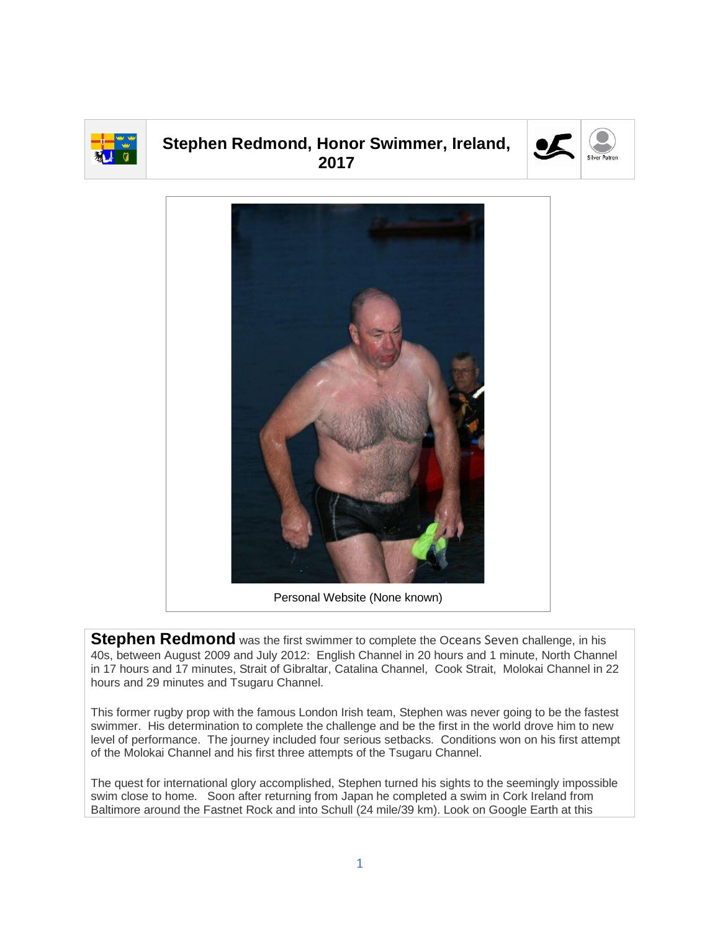

## **Stephen Redmond, Honor Swimmer, Ireland, 2017**





Personal Website (None known)

**Stephen Redmond** was the first swimmer to complete the Oceans Seven challenge, in his 40s, between August 2009 and July 2012: English Channel in 20 hours and 1 minute, North Channel in 17 hours and 17 minutes, Strait of Gibraltar, Catalina Channel, Cook Strait, Molokai Channel in 22 hours and 29 minutes and Tsugaru Channel.

This former rugby prop with the famous London Irish team, Stephen was never going to be the fastest swimmer. His determination to complete the challenge and be the first in the world drove him to new level of performance. The journey included four serious setbacks. Conditions won on his first attempt of the Molokai Channel and his first three attempts of the Tsugaru Channel.

The quest for international glory accomplished, Stephen turned his sights to the seemingly impossible swim close to home. Soon after returning from Japan he completed a swim in Cork Ireland from Baltimore around the Fastnet Rock and into Schull (24 mile/39 km). Look on Google Earth at this